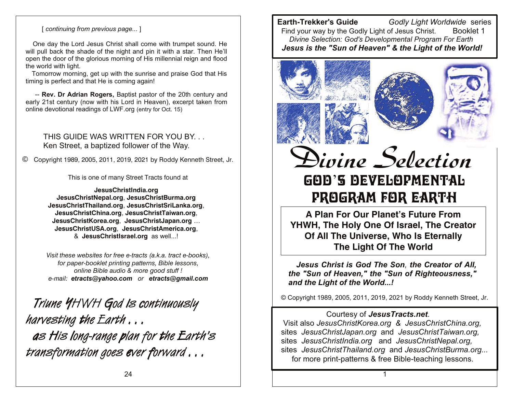#### [ continuing from previous page...]

One day the Lord Jesus Christ shall come with trumpet sound. He will pull back the shade of the night and pin it with a star. Then He'll open the door of the glorious morning of His millennial reign and flood the world with light.

Tomorrow morning, get up with the sunrise and praise God that His timing is perfect and that He is coming again!

-- Rev. Dr Adrian Rogers, Baptist pastor of the 20th century and early 21st century (now with his Lord in Heaven), excerpt taken from online devotional readings of LWF org (entry for Oct. 15)

THIS GUIDE WAS WRITTEN FOR YOU BY Ken Street, a baptized follower of the Way.

 $\circled{c}$ Copyright 1989, 2005, 2011, 2019, 2021 by Roddy Kenneth Street, Jr.

This is one of many Street Tracts found at

JesusChristIndia.org JesusChristNepal.org, JesusChristBurma.org JesusChristThailand.org, JesusChristSriLanka.org, JesusChristChina.org, JesusChristTaiwan.org, JesusChristKorea.org, JesusChristJapan.org ... JesusChristUSA.org, JesusChristAmerica.org, & JesusChristIsrael.org as well...!

Visit these websites for free e-tracts (a.k.a. tract e-books). for paper-booklet printing patterns, Bible lessons, online Bible audio & more good stuff ! e-mail: etracts@yahoo.com or etracts@gmail.com

Triune YHWH God is continuously harvesting the Earth ... as His long-range plan for the Earth's transformation goes ever forward...

**Earth-Trekker's Guide** Godly Light Worldwide series Find vour way by the Godly Light of Jesus Christ. Booklet 1 Divine Selection: God's Developmental Program For Earth Jesus is the "Sun of Heaven" & the Light of the World!



Divine Selection GOD'S DEVELOPMENTAL PROGRAM FOR EARTH

A Plan For Our Planet's Future From YHWH, The Holy One Of Israel, The Creator Of All The Universe, Who Is Eternally The Light Of The World

Jesus Christ is God The Son, the Creator of All, the "Sun of Heaven," the "Sun of Righteousness," and the Light of the World...!

© Copyright 1989, 2005, 2011, 2019, 2021 by Roddy Kenneth Street, Jr.

## Courtesy of Jesus Tracts.net.

Visit also JesusChristKorea.org & JesusChristChina.org, sites JesusChristJapan.org and JesusChristTaiwan.org, sites JesusChristIndia.org and JesusChristNepal.org. sites JesusChristThailand.org and JesusChristBurma.org... for more print-patterns & free Bible-teaching lessons.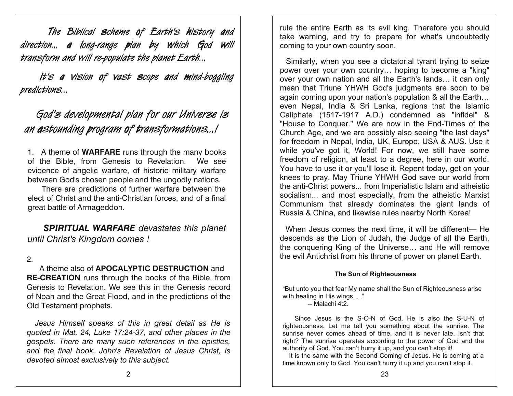The Biblical scheme of Earth's history and direction... a long-range plan by which God will transform and will re-populate the planet Earth...

It's a vision of vast scope and mind-boggling predictions...

# God's developmental plan for our Universe is an astounding program of transformations...!

1. A theme of **WARFARE** runs through the many books of the Bible, from Genesis to Revelation. We see evidence of angelic warfare, of historic military warfare between God's chosen people and the ungodly nations.

There are predictions of further warfare between the elect of Christ and the anti-Christian forces, and of a final great battle of Armageddon.

**SPIRITUAL WARFARE** devastates this planet until Christ's Kingdom comes!

## $2<sup>1</sup>$

A theme also of APOCALYPTIC DESTRUCTION and **RE-CREATION** runs through the books of the Bible, from Genesis to Revelation. We see this in the Genesis record of Noah and the Great Flood, and in the predictions of the Old Testament prophets.

Jesus Himself speaks of this in great detail as He is quoted in Mat. 24, Luke 17:24-37, and other places in the gospels. There are many such references in the epistles, and the final book, John's Revelation of Jesus Christ, is devoted almost exclusively to this subject.

rule the entire Earth as its evil king. Therefore you should take warning, and try to prepare for what's undoubtedly coming to your own country soon.

Similarly, when you see a dictatorial tyrant trying to seize power over your own country... hoping to become a "king" over your own nation and all the Earth's lands... it can only mean that Triune YHWH God's judgments are soon to be again coming upon your nation's population & all the Earth... even Nepal, India & Sri Lanka, regions that the Islamic Caliphate (1517-1917 A.D.) condemned as "infidel" & "House to Conquer." We are now in the End-Times of the Church Age, and we are possibly also seeing "the last days" for freedom in Nepal, India, UK, Europe, USA & AUS. Use it while you've got it, World! For now, we still have some freedom of religion, at least to a degree, here in our world. You have to use it or you'll lose it. Repent today, get on your knees to pray. May Triune YHWH God save our world from the anti-Christ powers... from Imperialistic Islam and atheistic socialism... and most especially, from the atheistic Marxist Communism that already dominates the giant lands of Russia & China, and likewise rules nearby North Korea!

When Jesus comes the next time, it will be different— He descends as the Lion of Judah, the Judge of all the Earth, the conquering King of the Universe... and He will remove the evil Antichrist from his throne of power on planet Earth.

#### The Sun of Righteousness

"But unto you that fear My name shall the Sun of Righteousness arise with healing in His wings. . ."

 $-$  Malachi 4:2.

Since Jesus is the S-O-N of God, He is also the S-U-N of righteousness. Let me tell you something about the sunrise. The sunrise never comes ahead of time, and it is never late. Isn't that right? The sunrise operates according to the power of God and the authority of God. You can't hurry it up, and you can't stop it!

It is the same with the Second Coming of Jesus. He is coming at a time known only to God. You can't hurry it up and you can't stop it.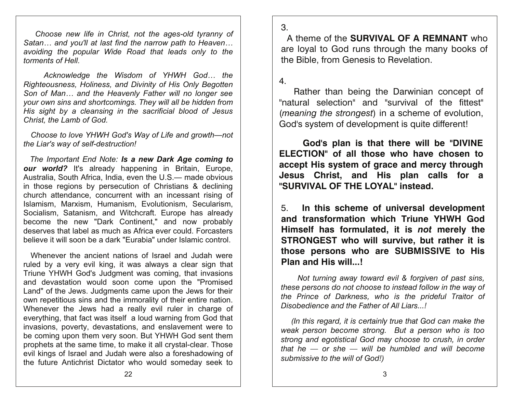Choose new life in Christ, not the ages-old tyranny of Satan... and you'll at last find the narrow path to Heaven... avoiding the popular Wide Road that leads only to the torments of Hell.

Acknowledge the Wisdom of YHWH God... the Righteousness, Holiness, and Divinity of His Only Begotten Son of Man... and the Heavenly Father will no longer see your own sins and shortcomings. They will all be hidden from His sight by a cleansing in the sacrificial blood of Jesus Christ. the Lamb of God.

Choose to love YHWH God's Way of Life and growth-not the Liar's way of self-destruction!

The Important End Note: Is a new Dark Age coming to our world? It's already happening in Britain, Europe, Australia. South Africa. India. even the U.S.— made obvious in those regions by persecution of Christians & declining church attendance, concurrent with an incessant rising of Islamism, Marxism, Humanism, Evolutionism, Secularism, Socialism, Satanism, and Witchcraft. Europe has already become the new "Dark Continent," and now probably deserves that label as much as Africa ever could. Forcasters believe it will soon be a dark "Eurabia" under Islamic control.

Whenever the ancient nations of Israel and Judah were ruled by a very evil king, it was always a clear sign that Triune YHWH God's Judgment was coming, that invasions and devastation would soon come upon the "Promised Land" of the Jews. Judgments came upon the Jews for their own repetitious sins and the immorality of their entire nation. Whenever the Jews had a really evil ruler in charge of everything, that fact was itself a loud warning from God that invasions, poverty, devastations, and enslavement were to be coming upon them very soon. But YHWH God sent them prophets at the same time, to make it all crystal-clear. Those evil kings of Israel and Judah were also a foreshadowing of the future Antichrist Dictator who would someday seek to

 $\mathcal{S}$ 

A theme of the **SURVIVAL OF A REMNANT** who are loval to God runs through the many books of the Bible, from Genesis to Revelation.

 $\overline{4}$ 

Rather than being the Darwinian concept of "natural selection" and "survival of the fittest" (*meaning the strongest*) in a scheme of evolution, God's system of development is quite different!

God's plan is that there will be "DIVINE ELECTION" of all those who have chosen to accept His system of grace and mercy through Jesus Christ, and His plan calls for a "SURVIVAL OF THE LOYAL" instead.

In this scheme of universal development  $5<sub>1</sub>$ and transformation which Triune YHWH God Himself has formulated, it is not merely the STRONGEST who will survive, but rather it is those persons who are SUBMISSIVE to His Plan and His will...!

Not turning away toward evil & forgiven of past sins, these persons do not choose to instead follow in the way of the Prince of Darkness, who is the prideful Traitor of Disobedience and the Father of All Liars...!

(In this regard, it is certainly true that God can make the weak person become strong. But a person who is too strong and egotistical God may choose to crush, in order that he  $-$  or she  $-$  will be humbled and will become submissive to the will of God!)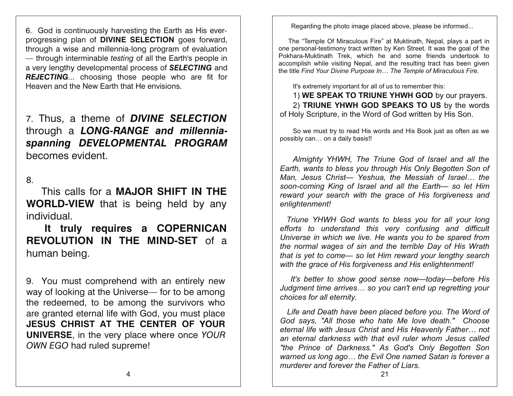6. God is continuously harvesting the Earth as His everprogressing plan of DIVINE SELECTION goes forward, through a wise and millennia-long program of evaluation - through interminable *testing* of all the Earth's people in a very lengthy developmental process of **SELECTING** and **REJECTING...** choosing those people who are fit for Heaven and the New Farth that He envisions.

## 7. Thus, a theme of **DIVINE SELECTION** through a LONG-RANGE and millenniaspanning DEVELOPMENTAL PROGRAM becomes evident.

 $8<sub>1</sub>$ 

This calls for a **MAJOR SHIFT IN THE WORLD-VIEW** that is being held by any individual.

It truly requires a COPERNICAN **REVOLUTION IN THE MIND-SET** of a human being.

9. You must comprehend with an entirely new way of looking at the Universe— for to be among the redeemed, to be among the survivors who are granted eternal life with God, you must place JESUS CHRIST AT THE CENTER OF YOUR **UNIVERSE, in the very place where once YOUR** OWN EGO had ruled supreme!

Regarding the photo image placed above, please be informed...

The "Temple Of Miraculous Fire" at Muktinath, Nepal, plays a part in one personal-testimony tract written by Ken Street. It was the goal of the Pokhara-Muktinath Trek, which he and some friends undertook to accomplish while visiting Nepal, and the resulting tract has been given the title Find Your Divine Purpose In... The Temple of Miraculous Fire.

It's extremely important for all of us to remember this:

1) WE SPEAK TO TRIUNE YHWH GOD by our prayers. 2) TRIUNE YHWH GOD SPEAKS TO US by the words of Holy Scripture, in the Word of God written by His Son.

So we must try to read His words and His Book just as often as we possibly can... on a daily basis!!

Almighty YHWH. The Triune God of Israel and all the Earth, wants to bless you through His Only Begotten Son of Man. Jesus Christ- Yeshua, the Messiah of Israel... the soon-coming King of Israel and all the Earth- so let Him reward your search with the grace of His forgiveness and enlightenment!

Triune YHWH God wants to bless you for all your long efforts to understand this very confusing and difficult Universe in which we live. He wants you to be spared from the normal wages of sin and the terrible Day of His Wrath that is yet to come— so let Him reward your lengthy search with the grace of His forgiveness and His enlightenment!

It's better to show good sense now-today-before His Judgment time arrives... so you can't end up regretting your choices for all eternity.

Life and Death have been placed before you. The Word of God says, "All those who hate Me love death." Choose eternal life with Jesus Christ and His Heavenly Father... not an eternal darkness with that evil ruler whom Jesus called "the Prince of Darkness." As God's Only Begotten Son warned us long ago... the Evil One named Satan is forever a murderer and forever the Father of Liars.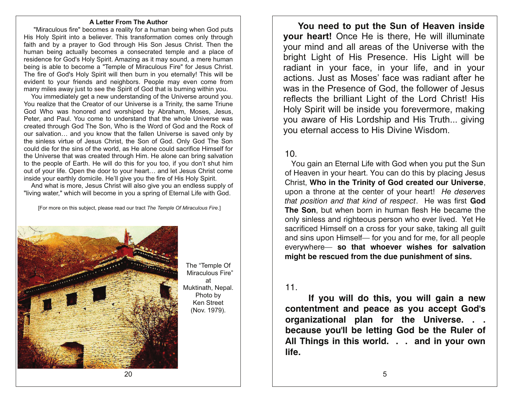#### A Letter From The Author

"Miraculous fire" becomes a reality for a human being when God puts His Holy Spirit into a believer. This transformation comes only through faith and by a prayer to God through His Son Jesus Christ. Then the human being actually becomes a consecrated temple and a place of residence for God's Holy Spirit. Amazing as it may sound, a mere human being is able to become a "Temple of Miraculous Fire" for Jesus Christ. The fire of God's Holy Spirit will then burn in you eternally! This will be evident to your friends and neighbors. People may even come from many miles away just to see the Spirit of God that is burning within you.

You immediately get a new understanding of the Universe around you. You realize that the Creator of our Universe is a Trinity, the same Triune God Who was honored and worshiped by Abraham, Moses, Jesus, Peter, and Paul. You come to understand that the whole Universe was created through God The Son, Who is the Word of God and the Rock of our salvation... and you know that the fallen Universe is saved only by the sinless virtue of Jesus Christ, the Son of God. Only God The Son could die for the sins of the world, as He alone could sacrifice Himself for the Universe that was created through Him. He alone can bring salvation to the people of Earth. He will do this for you too, if you don't shut him out of your life. Open the door to your heart... and let Jesus Christ come inside your earthly domicile. He'll give you the fire of His Holy Spirit.

And what is more, Jesus Christ will also give you an endless supply of "living water," which will become in you a spring of Eternal Life with God.

[For more on this subject, please read our tract The Temple Of Miraculous Fire.]



The "Temple Of Miraculous Fire" at Muktinath, Nepal. Photo by Ken Street (Nov. 1979).

You need to put the Sun of Heaven inside **vour heart!** Once He is there. He will illuminate your mind and all areas of the Universe with the bright Light of His Presence. His Light will be radiant in your face, in your life, and in your actions. Just as Moses' face was radiant after he was in the Presence of God, the follower of Jesus reflects the brilliant Light of the Lord Christ! His Holy Spirit will be inside you forevermore, making you aware of His Lordship and His Truth... giving you eternal access to His Divine Wisdom.

## $10<sub>1</sub>$

You gain an Eternal Life with God when you put the Sun of Heaven in your heart. You can do this by placing Jesus Christ, Who in the Trinity of God created our Universe, upon a throne at the center of your heart! He deserves that position and that kind of respect. He was first God The Son, but when born in human flesh He became the only sinless and righteous person who ever lived. Yet He sacrificed Himself on a cross for your sake, taking all quilt and sins upon Himself- for you and for me, for all people everywhere- so that whoever wishes for salvation might be rescued from the due punishment of sins.

#### $11.$

If you will do this, you will gain a new contentment and peace as you accept God's organizational plan for the Universe. . . because you'll be letting God be the Ruler of All Things in this world. . . and in your own life.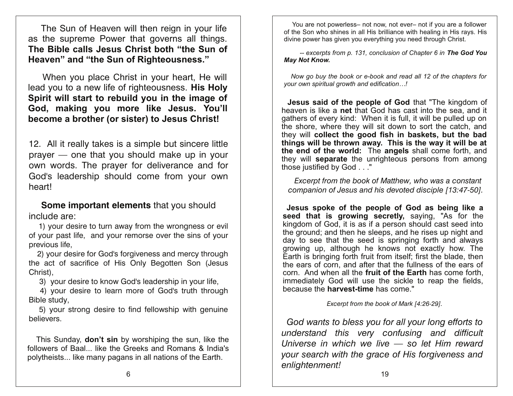The Sun of Heaven will then reign in your life as the supreme Power that governs all things. The Bible calls Jesus Christ both "the Sun of Heaven" and "the Sun of Righteousness."

When you place Christ in your heart, He will lead you to a new life of righteousness. His Holy Spirit will start to rebuild you in the image of God, making you more like Jesus. You'll become a brother (or sister) to Jesus Christ!

12. All it really takes is a simple but sincere little prayer - one that you should make up in your own words. The prayer for deliverance and for God's leadership should come from your own heart!

Some important elements that you should include are:

1) your desire to turn away from the wrongness or evil of your past life, and your remorse over the sins of your previous life.

2) your desire for God's forgiveness and mercy through the act of sacrifice of His Only Begotten Son (Jesus Christ).

3) your desire to know God's leadership in your life,

4) your desire to learn more of God's truth through Bible study,

5) your strong desire to find fellowship with genuine believers.

This Sunday, **don't sin** by worshiping the sun, like the followers of Baal... like the Greeks and Romans & India's polytheists... like many pagans in all nations of the Earth.

You are not powerless- not now, not ever- not if you are a follower of the Son who shines in all His brilliance with healing in His rays. His divine power has given you everything you need through Christ.

-- excerpts from p. 131, conclusion of Chapter 6 in The God You **May Not Know.** 

Now go buy the book or e-book and read all 12 of the chapters for your own spiritual growth and edification...!

Jesus said of the people of God that "The kingdom of heaven is like a net that God has cast into the sea. and it gathers of every kind: When it is full, it will be pulled up on the shore, where they will sit down to sort the catch, and they will collect the good fish in baskets, but the bad things will be thrown away. This is the way it will be at the end of the world: The angels shall come forth, and they will separate the unrighteous persons from among those justified by God . . ."

Excerpt from the book of Matthew, who was a constant companion of Jesus and his devoted disciple [13:47-50].

Jesus spoke of the people of God as being like a seed that is growing secretly, saying, "As for the kingdom of God, it is as if a person should cast seed into the ground; and then he sleeps, and he rises up night and day to see that the seed is springing forth and always growing up, although he knows not exactly how. The Earth is bringing forth fruit from itself; first the blade, then the ears of corn, and after that the fullness of the ears of corn. And when all the fruit of the Earth has come forth. immediately God will use the sickle to reap the fields, because the **harvest-time** has come."

Excerpt from the book of Mark [4:26-29].

God wants to bless you for all your long efforts to understand this very confusing and difficult Universe in which we live  $-$  so let Him reward your search with the grace of His forgiveness and enlightenment!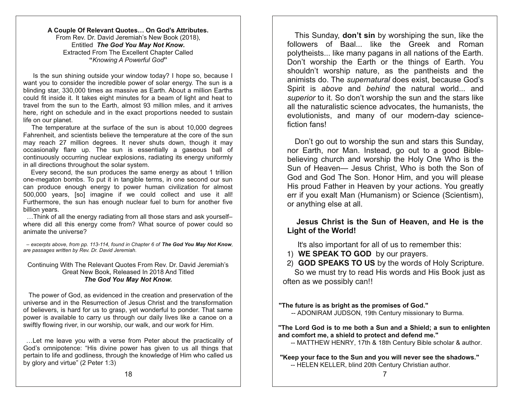#### A Couple Of Relevant Quotes... On God's Attributes. From Rev. Dr. David Jeremiah's New Book (2018). Entitled The God You May Not Know. Extracted From The Excellent Chapter Called "Knowing A Powerful God"

Is the sun shining outside your window today? I hope so, because I want you to consider the incredible power of solar energy. The sun is a blinding star, 330,000 times as massive as Earth. About a million Earths could fit inside it. It takes eight minutes for a beam of light and heat to travel from the sun to the Earth, almost 93 million miles, and it arrives here, right on schedule and in the exact proportions needed to sustain life on our planet.

The temperature at the surface of the sun is about 10,000 degrees Fahrenheit, and scientists believe the temperature at the core of the sun may reach 27 million degrees. It never shuts down, though it may occasionally flare up. The sun is essentially a gaseous ball of continuously occurring nuclear explosions, radiating its energy uniformly in all directions throughout the solar system.

Every second, the sun produces the same energy as about 1 trillion one-megaton bombs. To put it in tangible terms, in one second our sun can produce enough energy to power human civilization for almost 500,000 years, [so] imagine if we could collect and use it all! Furthermore, the sun has enough nuclear fuel to burn for another five billion years.

...Think of all the energy radiating from all those stars and ask yourselfwhere did all this energy come from? What source of power could so animate the universe?

- excerpts above, from pp. 113-114, found in Chapter 6 of The God You May Not Know, are passages written by Rev. Dr. David Jeremiah.

#### Continuing With The Relevant Quotes From Rev. Dr. David Jeremiah's Great New Book, Released In 2018 And Titled The God You May Not Know.

The power of God, as evidenced in the creation and preservation of the universe and in the Resurrection of Jesus Christ and the transformation of believers, is hard for us to grasp, yet wonderful to ponder. That same power is available to carry us through our daily lives like a canoe on a swiftly flowing river, in our worship, our walk, and our work for Him.

... Let me leave you with a verse from Peter about the practicality of God's omnipotence: "His divine power has given to us all things that pertain to life and godliness, through the knowledge of Him who called us by glory and virtue" (2 Peter 1:3)

This Sunday, don't sin by worshiping the sun, like the followers of Baal... like the Greek and Roman polytheists... like many pagans in all nations of the Earth. Don't worship the Earth or the things of Earth. You shouldn't worship nature, as the pantheists and the animists do. The *supernatural* does exist, because God's Spirit is above and behind the natural world... and superior to it. So don't worship the sun and the stars like all the naturalistic science advocates, the humanists, the evolutionists, and many of our modern-day sciencefiction fans!

Don't go out to worship the sun and stars this Sunday, nor Earth, nor Man. Instead, go out to a good Biblebelieving church and worship the Holy One Who is the Sun of Heaven- Jesus Christ, Who is both the Son of God and God The Son. Honor Him. and you will please His proud Father in Heaven by your actions. You greatly err if you exalt Man (Humanism) or Science (Scientism), or anything else at all.

## Jesus Christ is the Sun of Heaven, and He is the **Light of the World!**

It's also important for all of us to remember this:

- 1) WE SPEAK TO GOD by our prayers.
- 2) GOD SPEAKS TO US by the words of Holy Scripture. So we must try to read His words and His Book just as often as we possibly can!!

"The future is as bright as the promises of God."

-- ADONIRAM JUDSON, 19th Century missionary to Burma.

"The Lord God is to me both a Sun and a Shield; a sun to enlighten and comfort me, a shield to protect and defend me."

-- MATTHEW HENRY, 17th & 18th Century Bible scholar & author.

"Keep your face to the Sun and you will never see the shadows." -- HELEN KELLER, blind 20th Century Christian author.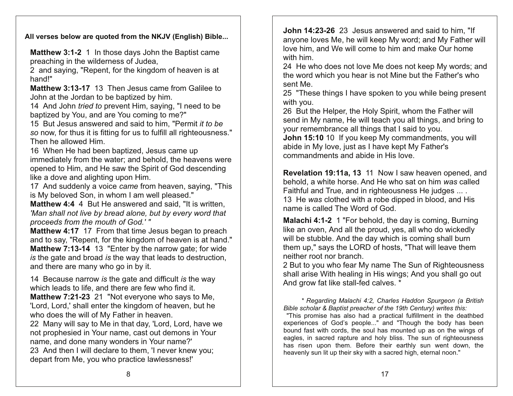All verses below are quoted from the NKJV (English) Bible...

Matthew 3:1-2 1 In those days John the Baptist came preaching in the wilderness of Judea,

2 and saying, "Repent, for the kingdom of heaven is at hand!"

Matthew 3:13-17 13 Then Jesus came from Galilee to John at the Jordan to be baptized by him.

14 And John tried to prevent Him, saying, "I need to be baptized by You, and are You coming to me?"

15 But Jesus answered and said to him. "Permit it to be so now, for thus it is fitting for us to fulfill all righteousness." Then he allowed Him.

16 When He had been baptized, Jesus came up immediately from the water; and behold, the heavens were opened to Him, and He saw the Spirit of God descending like a dove and alighting upon Him.

17 And suddenly a voice came from heaven, saying, "This is My beloved Son, in whom I am well pleased."

**Matthew 4:4** 4 But He answered and said, "It is written, 'Man shall not live by bread alone, but by every word that proceeds from the mouth of God.'"

Matthew 4:17 17 From that time Jesus began to preach and to say, "Repent, for the kingdom of heaven is at hand." **Matthew 7:13-14** 13 "Enter by the narrow gate; for wide is the gate and broad is the way that leads to destruction, and there are many who go in by it.

14 Because narrow is the gate and difficult is the way which leads to life, and there are few who find it.

Matthew 7:21-23 21 "Not everyone who says to Me, 'Lord, Lord,' shall enter the kingdom of heaven, but he who does the will of My Father in heaven.

22 Many will say to Me in that day, 'Lord, Lord, have we not prophesied in Your name, cast out demons in Your name, and done many wonders in Your name?' 23 And then I will declare to them. I never knew you: depart from Me, you who practice lawlessness!"

John 14:23-26 23 Jesus answered and said to him. "If anyone loves Me, he will keep My word; and My Father will love him, and We will come to him and make Our home with him.

24 He who does not love Me does not keep My words; and the word which you hear is not Mine but the Father's who sent Me

25 "These things I have spoken to you while being present with you.

26 But the Helper, the Holy Spirit, whom the Father will send in My name, He will teach you all things, and bring to your remembrance all things that I said to you.

John 15:10 10 If you keep My commandments, you will abide in My love, just as I have kept My Father's commandments and abide in His love.

Revelation 19:11a, 13 11 Now I saw heaven opened. and behold, a white horse. And He who sat on him was called Faithful and True, and in righteousness He judges .... 13 He was clothed with a robe dipped in blood, and His name is called The Word of God.

Malachi 4:1-2 1 "For behold, the day is coming, Burning like an oven, And all the proud, yes, all who do wickedly will be stubble. And the day which is coming shall burn them up," says the LORD of hosts, "That will leave them neither root nor branch.

2 But to you who fear My name The Sun of Righteousness shall arise With healing in His wings; And you shall go out And grow fat like stall-fed calves.

\* Regarding Malachi 4:2, Charles Haddon Spurgeon (a British Bible scholar & Baptist preacher of the 19th Century) writes this:

"This promise has also had a practical fulfillment in the deathbed experiences of God's people..." and "Though the body has been bound fast with cords, the soul has mounted up as on the wings of eagles, in sacred rapture and holy bliss. The sun of righteousness has risen upon them. Before their earthly sun went down, the heavenly sun lit up their sky with a sacred high, eternal noon."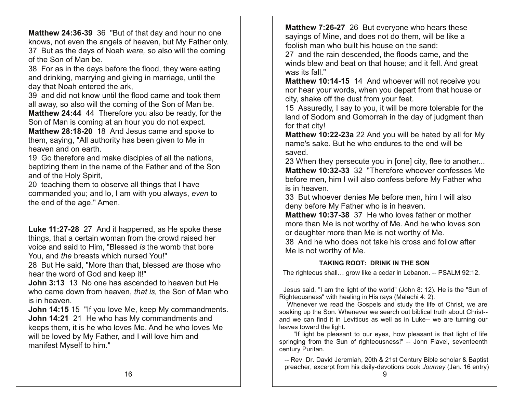Matthew 24:36-39 36 "But of that day and hour no one knows, not even the angels of heaven, but My Father only. 37 But as the days of Noah were, so also will the coming of the Son of Man be.

38 For as in the days before the flood, they were eating and drinking, marrying and giving in marriage, until the day that Noah entered the ark.

39 and did not know until the flood came and took them all away, so also will the coming of the Son of Man be. **Matthew 24:44** 44 Therefore you also be ready, for the

Son of Man is coming at an hour you do not expect.

Matthew 28:18-20 18 And Jesus came and spoke to them, saying, "All authority has been given to Me in heaven and on earth.

19 Go therefore and make disciples of all the nations, baptizing them in the name of the Father and of the Son and of the Holy Spirit,

20 teaching them to observe all things that I have commanded you; and lo, I am with you always, even to the end of the age." Amen.

Luke 11:27-28 27 And it happened, as He spoke these things, that a certain woman from the crowd raised her voice and said to Him, "Blessed is the womb that bore You, and the breasts which nursed You!"

28 But He said, "More than that, blessed are those who hear the word of God and keep it!"

**John 3:13** 13 No one has ascended to heaven but He who came down from heaven, that is, the Son of Man who is in heaven.

John 14:15 15 "If you love Me, keep My commandments. John 14:21 21 He who has My commandments and keeps them, it is he who loves Me. And he who loves Me will be loved by My Father, and I will love him and manifest Myself to him."

Matthew 7:26-27 26 But everyone who hears these sayings of Mine, and does not do them, will be like a foolish man who built his house on the sand:

27 and the rain descended, the floods came, and the winds blew and beat on that house; and it fell. And great was its fall."

Matthew 10:14-15 14 And whoever will not receive you nor hear your words, when you depart from that house or city, shake off the dust from your feet.

15 Assuredly, I say to you, it will be more tolerable for the land of Sodom and Gomorrah in the day of judgment than for that city!

Matthew 10:22-23a 22 And you will be hated by all for My name's sake. But he who endures to the end will be saved

23 When they persecute you in [one] city, flee to another... Matthew 10:32-33 32 "Therefore whoever confesses Me before men, him I will also confess before My Father who is in heaven.

33 But whoever denies Me before men, him I will also deny before My Father who is in heaven.

Matthew 10:37-38 37 He who loves father or mother more than Me is not worthy of Me. And he who loves son or daughter more than Me is not worthy of Me.

38 And he who does not take his cross and follow after Me is not worthy of Me.

## **TAKING ROOT: DRINK IN THE SON**

The righteous shall... grow like a cedar in Lebanon. -- PSALM 92:12.

Jesus said, "I am the light of the world" (John 8: 12). He is the "Sun of Righteousness" with healing in His rays (Malachi 4: 2).

Whenever we read the Gospels and study the life of Christ, we are soaking up the Son. Whenever we search out biblical truth about Christ-and we can find it in Leviticus as well as in Luke-- we are turning our leaves toward the light.

"If light be pleasant to our eves, how pleasant is that light of life springing from the Sun of righteousness!" -- John Flavel, seventeenth century Puritan.

-- Rev. Dr. David Jeremiah, 20th & 21st Century Bible scholar & Baptist preacher, excerpt from his daily-devotions book Journey (Jan. 16 entry)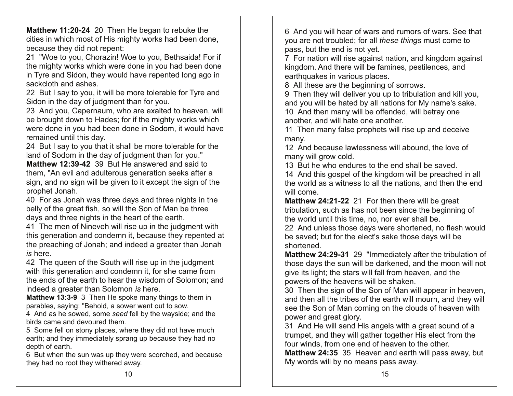Matthew 11:20-24 20 Then He began to rebuke the cities in which most of His mighty works had been done, because they did not repent:

21 "Woe to you, Chorazin! Woe to you, Bethsaida! For if the mighty works which were done in you had been done in Tyre and Sidon, they would have repented long ago in sackcloth and ashes.

22 But I say to you, it will be more tolerable for Tyre and Sidon in the day of judgment than for you.

23 And you, Capernaum, who are exalted to heaven, will be brought down to Hades; for if the mighty works which were done in you had been done in Sodom, it would have remained until this day.

24 But I say to you that it shall be more tolerable for the land of Sodom in the day of judgment than for you."

Matthew 12:39-42 39 But He answered and said to them. "An evil and adulterous generation seeks after a sign, and no sign will be given to it except the sign of the prophet Jonah.

40 For as Jonah was three days and three nights in the belly of the great fish, so will the Son of Man be three days and three nights in the heart of the earth.

41 The men of Nineveh will rise up in the judgment with this generation and condemn it, because they repented at the preaching of Jonah; and indeed a greater than Jonah is here.

42 The queen of the South will rise up in the judgment with this generation and condemn it, for she came from the ends of the earth to hear the wisdom of Solomon; and indeed a greater than Solomon is here.

Matthew 13:3-9 3 Then He spoke many things to them in parables, saying: "Behold, a sower went out to sow.

4 And as he sowed, some seed fell by the wayside; and the birds came and devoured them.

5 Some fell on stony places, where they did not have much earth; and they immediately sprang up because they had no depth of earth.

6 But when the sun was up they were scorched, and because they had no root they withered away.

6 And you will hear of wars and rumors of wars. See that you are not troubled; for all these things must come to pass, but the end is not yet.

7 For nation will rise against nation, and kingdom against kingdom. And there will be famines, pestilences, and earthquakes in various places.

8 All these are the beginning of sorrows.

9 Then they will deliver you up to tribulation and kill you, and you will be hated by all nations for My name's sake.

10 And then many will be offended, will betray one another, and will hate one another.

11 Then many false prophets will rise up and deceive many.

12 And because lawlessness will abound, the love of many will grow cold.

13 But he who endures to the end shall be saved.

14 And this gospel of the kingdom will be preached in all the world as a witness to all the nations, and then the end will come.

Matthew 24:21-22 21 For then there will be great tribulation, such as has not been since the beginning of the world until this time, no, nor ever shall be.

22 And unless those days were shortened, no flesh would be saved; but for the elect's sake those days will be shortened.

Matthew 24:29-31 29 "Immediately after the tribulation of those days the sun will be darkened, and the moon will not give its light; the stars will fall from heaven, and the powers of the heavens will be shaken.

30 Then the sign of the Son of Man will appear in heaven, and then all the tribes of the earth will mourn, and they will see the Son of Man coming on the clouds of heaven with power and great glory.

31 And He will send His angels with a great sound of a trumpet, and they will gather together His elect from the four winds, from one end of heaven to the other.

Matthew 24:35 35 Heaven and earth will pass away, but My words will by no means pass away.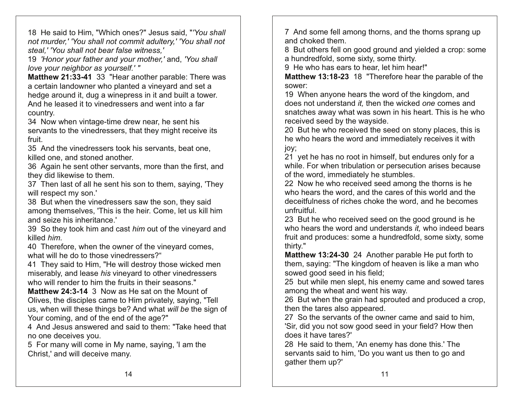18 He said to Him, "Which ones?" Jesus said, "'You shall not murder.' 'You shall not commit adultery,' 'You shall not steal,' 'You shall not bear false witness,'

19 'Honor your father and your mother,' and, 'You shall' love your neighbor as yourself.'"

Matthew 21:33-41 33 "Hear another parable: There was a certain landowner who planted a vineyard and set a hedge around it, dug a winepress in it and built a tower. And he leased it to vinedressers and went into a far country.

34 Now when vintage-time drew near, he sent his servants to the vinedressers, that they might receive its fruit.

35 And the vinedressers took his servants, beat one. killed one, and stoned another.

36 Again he sent other servants, more than the first, and they did likewise to them.

37 Then last of all he sent his son to them, saying, 'They' will respect my son.'

38 But when the vinedressers saw the son, they said among themselves, 'This is the heir. Come, let us kill him and seize his inheritance.'

39 So they took him and cast him out of the vineyard and killed him.

40 Therefore, when the owner of the vinevard comes, what will he do to those vinedressers?"

41 They said to Him, "He will destroy those wicked men miserably, and lease his vineyard to other vinedressers who will render to him the fruits in their seasons."

Matthew 24:3-14 3 Now as He sat on the Mount of Olives, the disciples came to Him privately, saying, "Tell us, when will these things be? And what will be the sign of Your coming, and of the end of the age?"

4 And Jesus answered and said to them: "Take heed that no one deceives you.

5 For many will come in My name, saying, 'I am the Christ,' and will deceive many.

7 And some fell among thorns, and the thorns sprang up and choked them.

8 But others fell on good ground and yielded a crop: some a hundredfold, some sixty, some thirty.

9 He who has ears to hear, let him hear!"

Matthew 13:18-23 18 "Therefore hear the parable of the sower:

19 When anyone hears the word of the kingdom, and does not understand it, then the wicked one comes and snatches away what was sown in his heart. This is he who received seed by the wayside.

20 But he who received the seed on stony places, this is he who hears the word and immediately receives it with joy;

21 yet he has no root in himself, but endures only for a while. For when tribulation or persecution arises because of the word, immediately he stumbles.

22 Now he who received seed among the thorns is he who hears the word, and the cares of this world and the deceitfulness of riches choke the word, and he becomes unfruitful

23 But he who received seed on the good ground is he who hears the word and understands *it*, who indeed bears fruit and produces: some a hundredfold, some sixty, some thirty."

Matthew 13:24-30 24 Another parable He put forth to them, saying: "The kingdom of heaven is like a man who sowed good seed in his field;

25 but while men slept, his enemy came and sowed tares among the wheat and went his way.

26 But when the grain had sprouted and produced a crop. then the tares also appeared.

27 So the servants of the owner came and said to him, 'Sir, did you not sow good seed in your field? How then does it have tares?'

28 He said to them, 'An enemy has done this.' The servants said to him, 'Do you want us then to go and gather them up?'